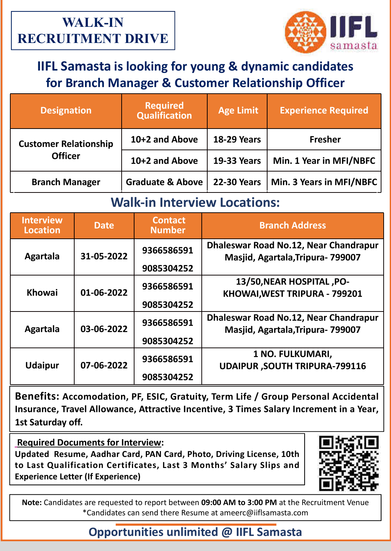

# **IIFL Samasta is looking for young & dynamic candidates for Branch Manager & Customer Relationship Officer**

| <b>Designation</b>                             | <b>Required</b><br><b>Qualification</b> | <b>Age Limit</b>   | <b>Experience Required</b> |
|------------------------------------------------|-----------------------------------------|--------------------|----------------------------|
| <b>Customer Relationship</b><br><b>Officer</b> | 10+2 and Above                          | <b>18-29 Years</b> | <b>Fresher</b>             |
|                                                | 10+2 and Above                          | <b>19-33 Years</b> | Min. 1 Year in MFI/NBFC    |
| <b>Branch Manager</b>                          | <b>Graduate &amp; Above</b>             | <b>22-30 Years</b> | Min. 3 Years in MFI/NBFC   |

### **Walk-in Interview Locations:**

| <b>Interview</b><br><b>Location</b> | <b>Date</b> | <b>Contact</b><br><b>Number</b> | <b>Branch Address</b>                                                       |
|-------------------------------------|-------------|---------------------------------|-----------------------------------------------------------------------------|
| Agartala                            | 31-05-2022  | 9366586591<br>9085304252        | Dhaleswar Road No.12, Near Chandrapur<br>Masjid, Agartala, Tripura - 799007 |
| <b>Khowai</b>                       | 01-06-2022  | 9366586591                      | 13/50, NEAR HOSPITAL , PO-<br>KHOWAI, WEST TRIPURA - 799201                 |
|                                     |             | 9085304252                      |                                                                             |
| Agartala                            | 03-06-2022  | 9366586591                      | Dhaleswar Road No.12, Near Chandrapur<br>Masjid, Agartala, Tripura- 799007  |
|                                     |             | 9085304252                      |                                                                             |
| <b>Udaipur</b>                      | 07-06-2022  | 9366586591                      | 1 NO. FULKUMARI,<br><b>UDAIPUR, SOUTH TRIPURA-799116</b>                    |
|                                     |             | 9085304252                      |                                                                             |

**Benefits: Accomodation, PF, ESIC, Gratuity, Term Life / Group Personal Accidental Insurance, Travel Allowance, Attractive Incentive, 3 Times Salary Increment in a Year, 1st Saturday off.**

**Required Documents for Interview:**

**Updated Resume, Aadhar Card, PAN Card, Photo, Driving License, 10th to Last Qualification Certificates, Last 3 Months' Salary Slips and Experience Letter (If Experience)** 



**Note:** Candidates are requested to report between **09:00 AM to 3:00 PM** at the Recruitment Venue \*Candidates can send there Resume at ameerc@iiflsamasta.com

## **Opportunities unlimited @ IIFL Samasta**